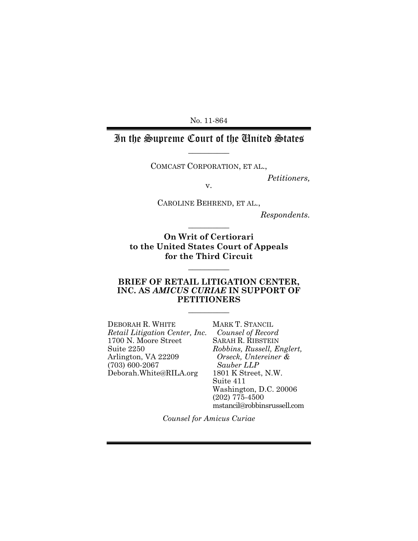No. 11-864

## In the Supreme Court of the United States  $\overline{\phantom{a}}$

COMCAST CORPORATION, ET AL.,

*Petitioners,* 

v.

CAROLINE BEHREND, ET AL.,

 $\overline{\phantom{a}}$ 

*Respondents.* 

**On Writ of Certiorari to the United States Court of Appeals for the Third Circuit** 

 $\overline{\phantom{a}}$ 

### **BRIEF OF RETAIL LITIGATION CENTER, INC. AS** *AMICUS CURIAE* **IN SUPPORT OF PETITIONERS**

 $\overline{\phantom{a}}$ 

| DEBORAH R. WHITE               | MARK T. STANCIL                                                      |
|--------------------------------|----------------------------------------------------------------------|
| Retail Litigation Center, Inc. | Counsel of Record                                                    |
| 1700 N. Moore Street           | <b>SARAH R. RIBSTEIN</b>                                             |
| Suite 2250                     | Robbins, Russell, Englert,                                           |
| Arlington, VA 22209            | Orseck, Untereiner &                                                 |
| $(703) 600 - 2067$             | Sauber LLP                                                           |
| Deborah.White@RILA.org         | 1801 K Street, N.W.                                                  |
|                                | Suite 411                                                            |
|                                | Washington, D.C. 20006                                               |
|                                | $(0.00)$ $\blacksquare$ $\blacksquare$ $\blacksquare$ $\blacksquare$ |

(202) 775-4500 mstancil@robbinsrussell.com

*Counsel for Amicus Curiae*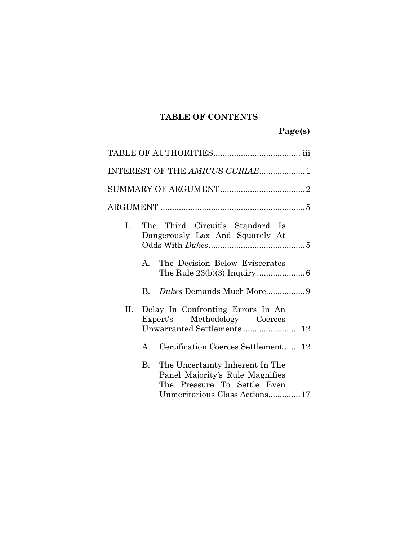## **TABLE OF CONTENTS**

**Page(s)** 

|              | INTEREST OF THE AMICUS CURIAE1                                                                                                           |
|--------------|------------------------------------------------------------------------------------------------------------------------------------------|
|              |                                                                                                                                          |
|              |                                                                                                                                          |
| L.           | The Third Circuit's Standard Is<br>Dangerously Lax And Squarely At                                                                       |
|              | The Decision Below Eviscerates<br>$\mathbf{A}$                                                                                           |
|              | $\mathbf{B}$                                                                                                                             |
| Н.           | Delay In Confronting Errors In An<br>Expert's Methodology Coerces<br>Unwarranted Settlements  12                                         |
| $\mathsf{A}$ | Certification Coerces Settlement12                                                                                                       |
|              | The Uncertainty Inherent In The<br>B.<br>Panel Majority's Rule Magnifies<br>The Pressure To Settle Even<br>Unmeritorious Class Actions17 |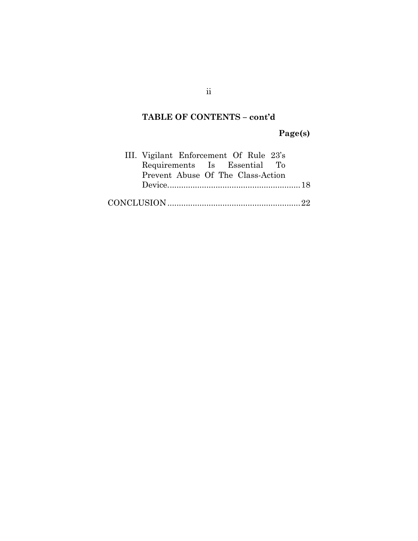## **TABLE OF CONTENTS – cont'd**

**Page(s)** 

| III. Vigilant Enforcement Of Rule 23's |  |
|----------------------------------------|--|
| Requirements Is Essential To           |  |
| Prevent Abuse Of The Class-Action      |  |
|                                        |  |
|                                        |  |
|                                        |  |

ii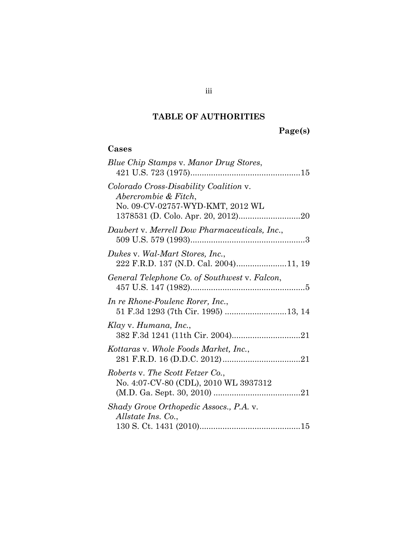## **TABLE OF AUTHORITIES**

# **Page(s)**

# **Cases**

| Blue Chip Stamps v. Manor Drug Stores,                                                             |
|----------------------------------------------------------------------------------------------------|
| Colorado Cross-Disability Coalition v.<br>Abercrombie & Fitch,<br>No. 09-CV-02757-WYD-KMT, 2012 WL |
| Daubert v. Merrell Dow Pharmaceuticals, Inc.,                                                      |
| Dukes v. Wal-Mart Stores, Inc.,<br>222 F.R.D. 137 (N.D. Cal. 2004)11, 19                           |
| General Telephone Co. of Southwest v. Falcon,                                                      |
| In re Rhone-Poulenc Rorer, Inc.,<br>51 F.3d 1293 (7th Cir. 1995) 13, 14                            |
| Klay v. Humana, Inc.,                                                                              |
| Kottaras v. Whole Foods Market, Inc.,                                                              |
| Roberts v. The Scott Fetzer Co.,<br>No. 4:07-CV-80 (CDL), 2010 WL 3937312                          |
| Shady Grove Orthopedic Assocs., P.A. v.<br><i>Allstate Ins. Co.,</i>                               |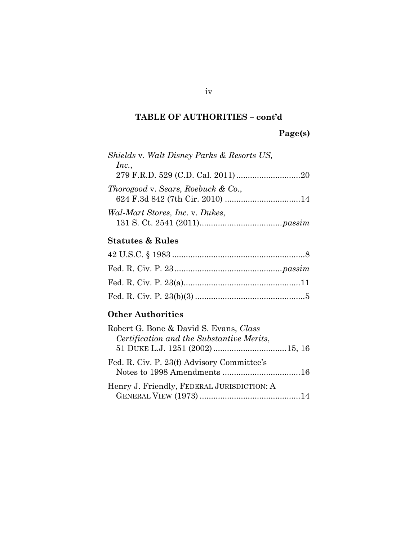## **TABLE OF AUTHORITIES – cont'd**

**Page(s)** 

| Shields v. Walt Disney Parks & Resorts US, |  |
|--------------------------------------------|--|
| Inc.,                                      |  |
| Thorogood v. Sears, Roebuck & Co.,         |  |
| Wal-Mart Stores, Inc. v. Dukes,            |  |

## **Statutes & Rules**

## **Other Authorities**

| Robert G. Bone & David S. Evans, Class     |  |
|--------------------------------------------|--|
| Certification and the Substantive Merits,  |  |
|                                            |  |
| Fed. R. Civ. P. 23(f) Advisory Committee's |  |
|                                            |  |
| Henry J. Friendly, FEDERAL JURISDICTION: A |  |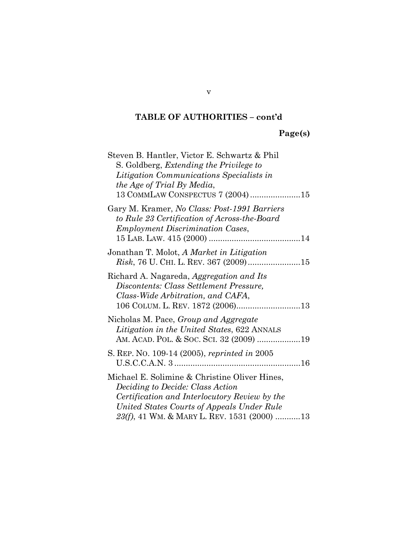## **TABLE OF AUTHORITIES – cont'd**

| Steven B. Hantler, Victor E. Schwartz & Phil<br>S. Goldberg, <i>Extending the Privilege to</i><br>Litigation Communications Specialists in<br>the Age of Trial By Media,<br>13 COMMLAW CONSPECTUS 7 (2004)15                    |
|---------------------------------------------------------------------------------------------------------------------------------------------------------------------------------------------------------------------------------|
| Gary M. Kramer, No Class: Post-1991 Barriers<br>to Rule 23 Certification of Across-the-Board<br><i>Employment Discrimination Cases,</i>                                                                                         |
| Jonathan T. Molot, A Market in Litigation<br><i>Risk</i> , 76 U. CHI. L. REV. 367 (2009)15                                                                                                                                      |
| Richard A. Nagareda, Aggregation and Its<br>Discontents: Class Settlement Pressure,<br>Class-Wide Arbitration, and CAFA,<br>106 COLUM. L. REV. 1872 (2006)13                                                                    |
| Nicholas M. Pace, Group and Aggregate<br>Litigation in the United States, 622 ANNALS                                                                                                                                            |
| S. REP. No. 109-14 (2005), reprinted in 2005                                                                                                                                                                                    |
| Michael E. Solimine & Christine Oliver Hines,<br>Deciding to Decide: Class Action<br>Certification and Interlocutory Review by the<br>United States Courts of Appeals Under Rule<br>23(f), 41 WM. & MARY L. REV. 1531 (2000) 13 |

v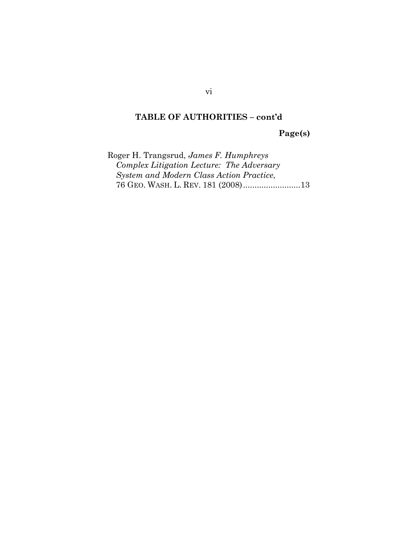## **TABLE OF AUTHORITIES – cont'd**

**Page(s)** 

Roger H. Trangsrud, *James F. Humphreys Complex Litigation Lecture: The Adversary System and Modern Class Action Practice*, 76 GEO. WASH. L. REV. 181 (2008) ......................... 13

vi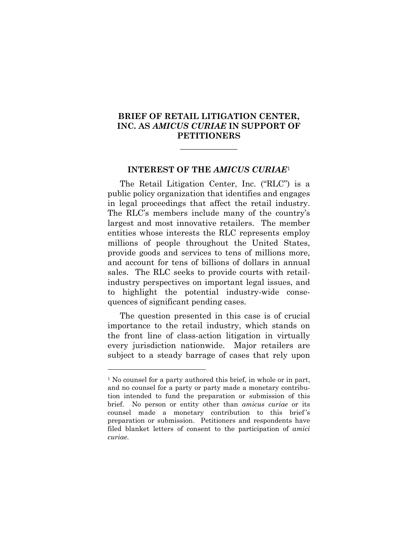### **BRIEF OF RETAIL LITIGATION CENTER, INC. AS** *AMICUS CURIAE* **IN SUPPORT OF PETITIONERS**

**\_\_\_\_\_\_\_\_\_\_\_\_\_\_** 

#### **INTEREST OF THE** *AMICUS CURIAE*<sup>1</sup>

The Retail Litigation Center, Inc. ("RLC") is a public policy organization that identifies and engages in legal proceedings that affect the retail industry. The RLC's members include many of the country's largest and most innovative retailers. The member entities whose interests the RLC represents employ millions of people throughout the United States, provide goods and services to tens of millions more, and account for tens of billions of dollars in annual sales. The RLC seeks to provide courts with retailindustry perspectives on important legal issues, and to highlight the potential industry-wide consequences of significant pending cases.

The question presented in this case is of crucial importance to the retail industry, which stands on the front line of class-action litigation in virtually every jurisdiction nationwide. Major retailers are subject to a steady barrage of cases that rely upon

 $\overline{a}$ 

<sup>&</sup>lt;sup>1</sup> No counsel for a party authored this brief, in whole or in part, and no counsel for a party or party made a monetary contribution intended to fund the preparation or submission of this brief. No person or entity other than *amicus curiae* or its counsel made a monetary contribution to this brief 's preparation or submission. Petitioners and respondents have filed blanket letters of consent to the participation of *amici curiae*.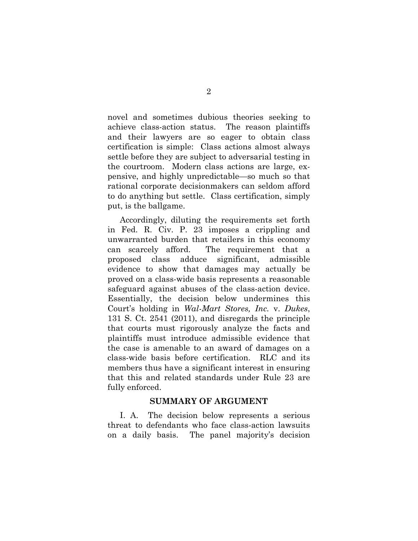novel and sometimes dubious theories seeking to achieve class-action status. The reason plaintiffs and their lawyers are so eager to obtain class certification is simple: Class actions almost always settle before they are subject to adversarial testing in the courtroom. Modern class actions are large, expensive, and highly unpredictable—so much so that rational corporate decisionmakers can seldom afford to do anything but settle. Class certification, simply put, is the ballgame.

Accordingly, diluting the requirements set forth in Fed. R. Civ. P. 23 imposes a crippling and unwarranted burden that retailers in this economy can scarcely afford. The requirement that a proposed class adduce significant, admissible evidence to show that damages may actually be proved on a class-wide basis represents a reasonable safeguard against abuses of the class-action device. Essentially, the decision below undermines this Court's holding in *Wal-Mart Stores, Inc.* v. *Dukes*, 131 S. Ct. 2541 (2011), and disregards the principle that courts must rigorously analyze the facts and plaintiffs must introduce admissible evidence that the case is amenable to an award of damages on a class-wide basis before certification. RLC and its members thus have a significant interest in ensuring that this and related standards under Rule 23 are fully enforced.

#### **SUMMARY OF ARGUMENT**

I. A. The decision below represents a serious threat to defendants who face class-action lawsuits on a daily basis. The panel majority's decision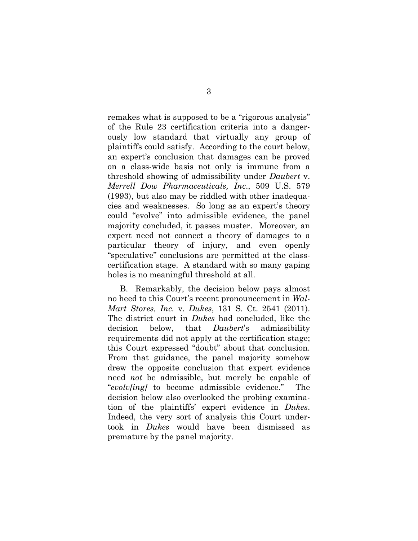remakes what is supposed to be a "rigorous analysis" of the Rule 23 certification criteria into a dangerously low standard that virtually any group of plaintiffs could satisfy. According to the court below, an expert's conclusion that damages can be proved on a class-wide basis not only is immune from a threshold showing of admissibility under *Daubert* v. *Merrell Dow Pharmaceuticals, Inc*., 509 U.S. 579 (1993), but also may be riddled with other inadequacies and weaknesses. So long as an expert's theory could "evolve" into admissible evidence, the panel majority concluded, it passes muster. Moreover, an expert need not connect a theory of damages to a particular theory of injury, and even openly "speculative" conclusions are permitted at the classcertification stage. A standard with so many gaping holes is no meaningful threshold at all.

B. Remarkably, the decision below pays almost no heed to this Court's recent pronouncement in *Wal-Mart Stores, Inc.* v. *Dukes*, 131 S. Ct. 2541 (2011). The district court in *Dukes* had concluded, like the decision below, that *Daubert*'s admissibility requirements did not apply at the certification stage; this Court expressed "doubt" about that conclusion. From that guidance, the panel majority somehow drew the opposite conclusion that expert evidence need *not* be admissible, but merely be capable of "*evolv[ing]* to become admissible evidence." The decision below also overlooked the probing examination of the plaintiffs' expert evidence in *Dukes*. Indeed, the very sort of analysis this Court undertook in *Dukes* would have been dismissed as premature by the panel majority.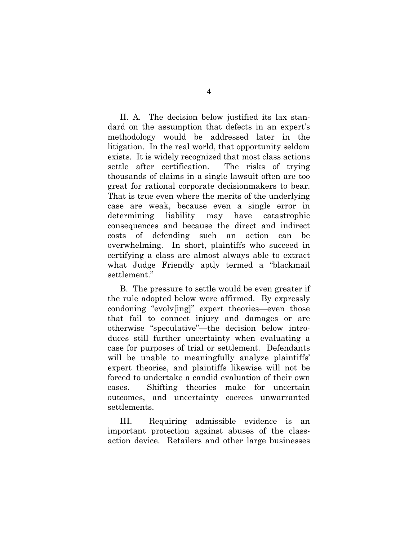II. A. The decision below justified its lax standard on the assumption that defects in an expert's methodology would be addressed later in the litigation. In the real world, that opportunity seldom exists. It is widely recognized that most class actions settle after certification. The risks of trying thousands of claims in a single lawsuit often are too great for rational corporate decisionmakers to bear. That is true even where the merits of the underlying case are weak, because even a single error in determining liability may have catastrophic consequences and because the direct and indirect costs of defending such an action can be overwhelming. In short, plaintiffs who succeed in certifying a class are almost always able to extract what Judge Friendly aptly termed a "blackmail settlement."

B. The pressure to settle would be even greater if the rule adopted below were affirmed. By expressly condoning "evolv[ing]" expert theories—even those that fail to connect injury and damages or are otherwise "speculative"—the decision below introduces still further uncertainty when evaluating a case for purposes of trial or settlement. Defendants will be unable to meaningfully analyze plaintiffs' expert theories, and plaintiffs likewise will not be forced to undertake a candid evaluation of their own cases. Shifting theories make for uncertain outcomes, and uncertainty coerces unwarranted settlements.

III. Requiring admissible evidence is an important protection against abuses of the classaction device. Retailers and other large businesses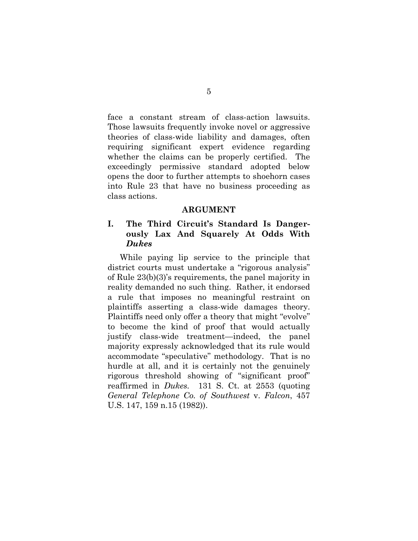face a constant stream of class-action lawsuits. Those lawsuits frequently invoke novel or aggressive theories of class-wide liability and damages, often requiring significant expert evidence regarding whether the claims can be properly certified. The exceedingly permissive standard adopted below opens the door to further attempts to shoehorn cases into Rule 23 that have no business proceeding as class actions.

#### **ARGUMENT**

### **I. The Third Circuit's Standard Is Dangerously Lax And Squarely At Odds With**  *Dukes*

While paying lip service to the principle that district courts must undertake a "rigorous analysis" of Rule 23(b)(3)'s requirements, the panel majority in reality demanded no such thing. Rather, it endorsed a rule that imposes no meaningful restraint on plaintiffs asserting a class-wide damages theory. Plaintiffs need only offer a theory that might "evolve" to become the kind of proof that would actually justify class-wide treatment—indeed, the panel majority expressly acknowledged that its rule would accommodate "speculative" methodology. That is no hurdle at all, and it is certainly not the genuinely rigorous threshold showing of "significant proof" reaffirmed in *Dukes.* 131 S. Ct. at 2553 (quoting *General Telephone Co. of Southwest* v. *Falcon*, 457 U.S. 147, 159 n.15 (1982)).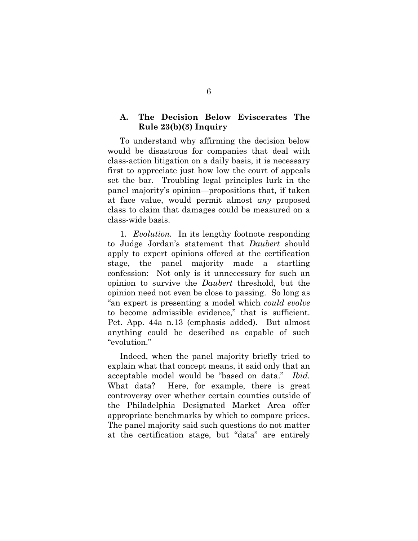### **A. The Decision Below Eviscerates The Rule 23(b)(3) Inquiry**

To understand why affirming the decision below would be disastrous for companies that deal with class-action litigation on a daily basis, it is necessary first to appreciate just how low the court of appeals set the bar. Troubling legal principles lurk in the panel majority's opinion—propositions that, if taken at face value, would permit almost *any* proposed class to claim that damages could be measured on a class-wide basis.

1. *Evolution.* In its lengthy footnote responding to Judge Jordan's statement that *Daubert* should apply to expert opinions offered at the certification stage, the panel majority made a startling confession: Not only is it unnecessary for such an opinion to survive the *Daubert* threshold, but the opinion need not even be close to passing. So long as "an expert is presenting a model which *could evolve* to become admissible evidence," that is sufficient. Pet. App. 44a n.13 (emphasis added). But almost anything could be described as capable of such "evolution."

Indeed, when the panel majority briefly tried to explain what that concept means, it said only that an acceptable model would be "based on data." *Ibid.* What data? Here, for example, there is great controversy over whether certain counties outside of the Philadelphia Designated Market Area offer appropriate benchmarks by which to compare prices. The panel majority said such questions do not matter at the certification stage, but "data" are entirely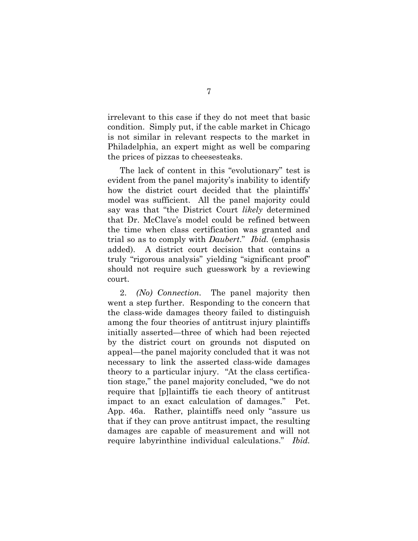irrelevant to this case if they do not meet that basic condition. Simply put, if the cable market in Chicago is not similar in relevant respects to the market in Philadelphia, an expert might as well be comparing the prices of pizzas to cheesesteaks.

The lack of content in this "evolutionary" test is evident from the panel majority's inability to identify how the district court decided that the plaintiffs' model was sufficient. All the panel majority could say was that "the District Court *likely* determined that Dr. McClave's model could be refined between the time when class certification was granted and trial so as to comply with *Daubert*." *Ibid.* (emphasis added). A district court decision that contains a truly "rigorous analysis" yielding "significant proof" should not require such guesswork by a reviewing court.

2. *(No) Connection.* The panel majority then went a step further. Responding to the concern that the class-wide damages theory failed to distinguish among the four theories of antitrust injury plaintiffs initially asserted—three of which had been rejected by the district court on grounds not disputed on appeal—the panel majority concluded that it was not necessary to link the asserted class-wide damages theory to a particular injury. "At the class certification stage," the panel majority concluded, "we do not require that [p]laintiffs tie each theory of antitrust impact to an exact calculation of damages." Pet. App. 46a. Rather, plaintiffs need only "assure us that if they can prove antitrust impact, the resulting damages are capable of measurement and will not require labyrinthine individual calculations." *Ibid.*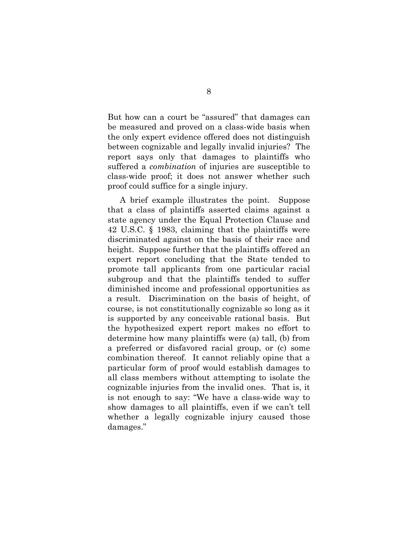But how can a court be "assured" that damages can be measured and proved on a class-wide basis when the only expert evidence offered does not distinguish between cognizable and legally invalid injuries? The report says only that damages to plaintiffs who suffered a *combination* of injuries are susceptible to class-wide proof; it does not answer whether such proof could suffice for a single injury.

A brief example illustrates the point. Suppose that a class of plaintiffs asserted claims against a state agency under the Equal Protection Clause and 42 U.S.C. § 1983, claiming that the plaintiffs were discriminated against on the basis of their race and height. Suppose further that the plaintiffs offered an expert report concluding that the State tended to promote tall applicants from one particular racial subgroup and that the plaintiffs tended to suffer diminished income and professional opportunities as a result. Discrimination on the basis of height, of course, is not constitutionally cognizable so long as it is supported by any conceivable rational basis. But the hypothesized expert report makes no effort to determine how many plaintiffs were (a) tall, (b) from a preferred or disfavored racial group, or (c) some combination thereof. It cannot reliably opine that a particular form of proof would establish damages to all class members without attempting to isolate the cognizable injuries from the invalid ones. That is, it is not enough to say: "We have a class-wide way to show damages to all plaintiffs, even if we can't tell whether a legally cognizable injury caused those damages."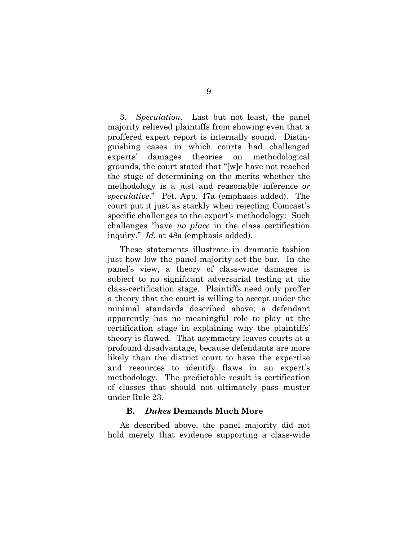3. *Speculation.* Last but not least, the panel majority relieved plaintiffs from showing even that a proffered expert report is internally sound. Distinguishing cases in which courts had challenged experts' damages theories on methodological grounds, the court stated that "[w]e have not reached the stage of determining on the merits whether the methodology is a just and reasonable inference *or speculative*." Pet. App. 47a (emphasis added). The court put it just as starkly when rejecting Comcast's specific challenges to the expert's methodology: Such challenges "have *no place* in the class certification inquiry." *Id.* at 48a (emphasis added).

These statements illustrate in dramatic fashion just how low the panel majority set the bar. In the panel's view, a theory of class-wide damages is subject to no significant adversarial testing at the class-certification stage. Plaintiffs need only proffer a theory that the court is willing to accept under the minimal standards described above; a defendant apparently has no meaningful role to play at the certification stage in explaining why the plaintiffs' theory is flawed. That asymmetry leaves courts at a profound disadvantage, because defendants are more likely than the district court to have the expertise and resources to identify flaws in an expert's methodology. The predictable result is certification of classes that should not ultimately pass muster under Rule 23.

### **B.** *Dukes* **Demands Much More**

As described above, the panel majority did not hold merely that evidence supporting a class-wide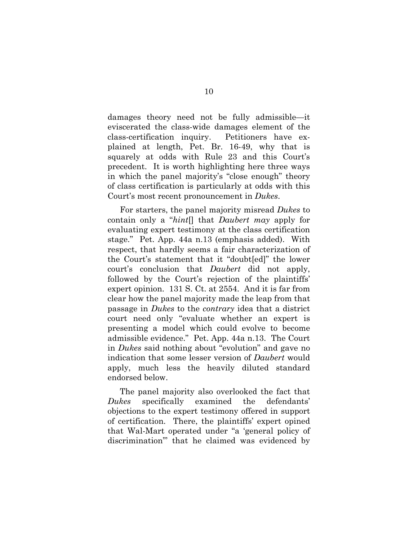damages theory need not be fully admissible—it eviscerated the class-wide damages element of the class-certification inquiry. Petitioners have explained at length, Pet. Br. 16-49, why that is squarely at odds with Rule 23 and this Court's precedent. It is worth highlighting here three ways in which the panel majority's "close enough" theory of class certification is particularly at odds with this Court's most recent pronouncement in *Dukes*.

For starters, the panel majority misread *Dukes* to contain only a "*hint*[] that *Daubert may* apply for evaluating expert testimony at the class certification stage." Pet. App. 44a n.13 (emphasis added). With respect, that hardly seems a fair characterization of the Court's statement that it "doubt[ed]" the lower court's conclusion that *Daubert* did not apply, followed by the Court's rejection of the plaintiffs' expert opinion. 131 S. Ct. at 2554. And it is far from clear how the panel majority made the leap from that passage in *Dukes* to the *contrary* idea that a district court need only "evaluate whether an expert is presenting a model which could evolve to become admissible evidence." Pet. App. 44a n.13. The Court in *Dukes* said nothing about "evolution" and gave no indication that some lesser version of *Daubert* would apply, much less the heavily diluted standard endorsed below.

The panel majority also overlooked the fact that *Dukes* specifically examined the defendants' objections to the expert testimony offered in support of certification. There, the plaintiffs' expert opined that Wal-Mart operated under "a 'general policy of discrimination'" that he claimed was evidenced by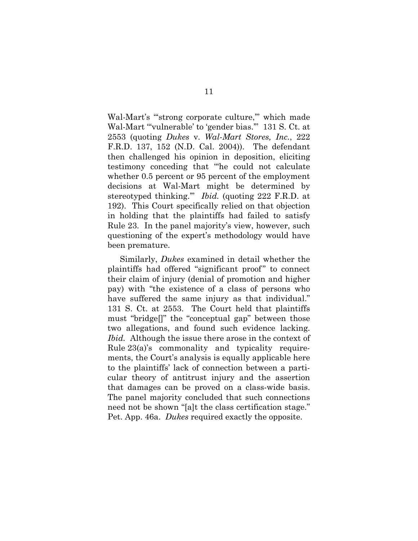Wal-Mart's "'strong corporate culture,'" which made Wal-Mart "'vulnerable' to 'gender bias.'" 131 S. Ct. at 2553 (quoting *Dukes* v. *Wal-Mart Stores, Inc.*, 222 F.R.D. 137, 152 (N.D. Cal. 2004)). The defendant then challenged his opinion in deposition, eliciting testimony conceding that "'he could not calculate whether 0.5 percent or 95 percent of the employment decisions at Wal-Mart might be determined by stereotyped thinking.'" *Ibid.* (quoting 222 F.R.D. at 192). This Court specifically relied on that objection in holding that the plaintiffs had failed to satisfy Rule 23. In the panel majority's view, however, such questioning of the expert's methodology would have been premature.

Similarly, *Dukes* examined in detail whether the plaintiffs had offered "significant proof" to connect their claim of injury (denial of promotion and higher pay) with "the existence of a class of persons who have suffered the same injury as that individual." 131 S. Ct. at 2553. The Court held that plaintiffs must "bridge[]" the "conceptual gap" between those two allegations, and found such evidence lacking. *Ibid.* Although the issue there arose in the context of Rule 23(a)'s commonality and typicality requirements, the Court's analysis is equally applicable here to the plaintiffs' lack of connection between a particular theory of antitrust injury and the assertion that damages can be proved on a class-wide basis. The panel majority concluded that such connections need not be shown "[a]t the class certification stage." Pet. App. 46a. *Dukes* required exactly the opposite.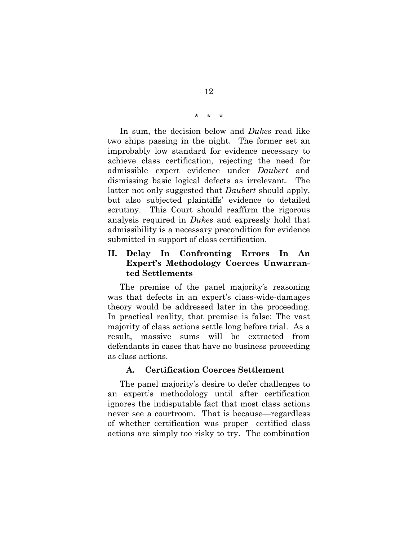#### \* \* \*

In sum, the decision below and *Dukes* read like two ships passing in the night. The former set an improbably low standard for evidence necessary to achieve class certification, rejecting the need for admissible expert evidence under *Daubert* and dismissing basic logical defects as irrelevant. The latter not only suggested that *Daubert* should apply, but also subjected plaintiffs' evidence to detailed scrutiny. This Court should reaffirm the rigorous analysis required in *Dukes* and expressly hold that admissibility is a necessary precondition for evidence submitted in support of class certification.

### **II. Delay In Confronting Errors In An Expert's Methodology Coerces Unwarranted Settlements**

The premise of the panel majority's reasoning was that defects in an expert's class-wide-damages theory would be addressed later in the proceeding. In practical reality, that premise is false: The vast majority of class actions settle long before trial. As a result, massive sums will be extracted from defendants in cases that have no business proceeding as class actions.

#### **A. Certification Coerces Settlement**

The panel majority's desire to defer challenges to an expert's methodology until after certification ignores the indisputable fact that most class actions never see a courtroom. That is because—regardless of whether certification was proper—certified class actions are simply too risky to try. The combination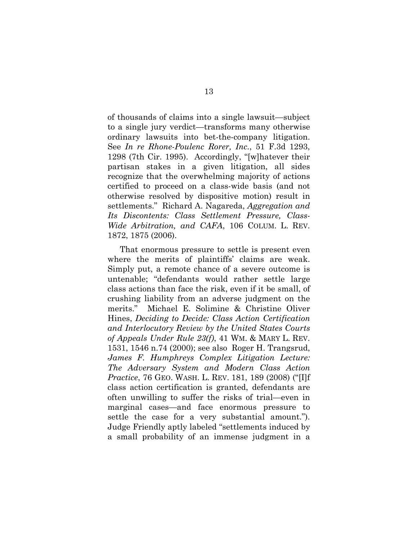of thousands of claims into a single lawsuit—subject to a single jury verdict—transforms many otherwise ordinary lawsuits into bet-the-company litigation. See *In re Rhone-Poulenc Rorer, Inc.*, 51 F.3d 1293, 1298 (7th Cir. 1995). Accordingly, "[w]hatever their partisan stakes in a given litigation, all sides recognize that the overwhelming majority of actions certified to proceed on a class-wide basis (and not otherwise resolved by dispositive motion) result in settlements." Richard A. Nagareda, *Aggregation and Its Discontents: Class Settlement Pressure, Class-Wide Arbitration, and CAFA*, 106 COLUM. L. REV. 1872, 1875 (2006).

That enormous pressure to settle is present even where the merits of plaintiffs' claims are weak. Simply put, a remote chance of a severe outcome is untenable; "defendants would rather settle large class actions than face the risk, even if it be small, of crushing liability from an adverse judgment on the merits." Michael E. Solimine & Christine Oliver Hines, *Deciding to Decide: Class Action Certification and Interlocutory Review by the United States Courts of Appeals Under Rule 23(f)*, 41 WM. & MARY L. REV. 1531, 1546 n.74 (2000); see also Roger H. Trangsrud, *James F. Humphreys Complex Litigation Lecture: The Adversary System and Modern Class Action Practice*, 76 GEO. WASH. L. REV. 181, 189 (2008) ("[I]f class action certification is granted, defendants are often unwilling to suffer the risks of trial—even in marginal cases—and face enormous pressure to settle the case for a very substantial amount."). Judge Friendly aptly labeled "settlements induced by a small probability of an immense judgment in a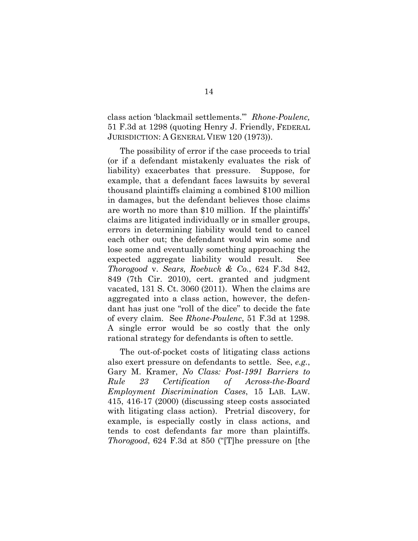class action 'blackmail settlements.'" *Rhone-Poulenc,*  51 F.3d at 1298 (quoting Henry J. Friendly, FEDERAL JURISDICTION: A GENERAL VIEW 120 (1973)).

The possibility of error if the case proceeds to trial (or if a defendant mistakenly evaluates the risk of liability) exacerbates that pressure. Suppose, for example, that a defendant faces lawsuits by several thousand plaintiffs claiming a combined \$100 million in damages, but the defendant believes those claims are worth no more than \$10 million. If the plaintiffs' claims are litigated individually or in smaller groups, errors in determining liability would tend to cancel each other out; the defendant would win some and lose some and eventually something approaching the expected aggregate liability would result. See *Thorogood* v. *Sears, Roebuck & Co.*, 624 F.3d 842, 849 (7th Cir. 2010), cert. granted and judgment vacated, 131 S. Ct. 3060 (2011). When the claims are aggregated into a class action, however, the defendant has just one "roll of the dice" to decide the fate of every claim. See *Rhone-Poulenc*, 51 F.3d at 1298. A single error would be so costly that the only rational strategy for defendants is often to settle.

The out-of-pocket costs of litigating class actions also exert pressure on defendants to settle. See, *e.g.*, Gary M. Kramer, *No Class: Post-1991 Barriers to Rule 23 Certification of Across-the-Board Employment Discrimination Cases*, 15 LAB. LAW. 415, 416-17 (2000) (discussing steep costs associated with litigating class action). Pretrial discovery, for example, is especially costly in class actions, and tends to cost defendants far more than plaintiffs. *Thorogood*, 624 F.3d at 850 ("[T]he pressure on [the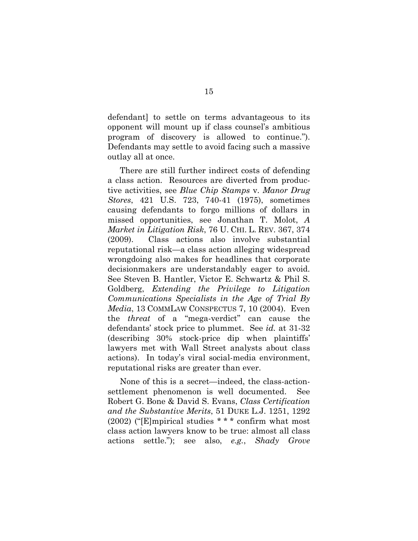defendant] to settle on terms advantageous to its opponent will mount up if class counsel's ambitious program of discovery is allowed to continue."). Defendants may settle to avoid facing such a massive outlay all at once.

There are still further indirect costs of defending a class action. Resources are diverted from productive activities, see *Blue Chip Stamps* v. *Manor Drug Stores*, 421 U.S. 723, 740-41 (1975), sometimes causing defendants to forgo millions of dollars in missed opportunities, see Jonathan T. Molot, *A Market in Litigation Risk*, 76 U. CHI. L. REV. 367, 374 (2009). Class actions also involve substantial reputational risk—a class action alleging widespread wrongdoing also makes for headlines that corporate decisionmakers are understandably eager to avoid. See Steven B. Hantler, Victor E. Schwartz & Phil S. Goldberg, *Extending the Privilege to Litigation Communications Specialists in the Age of Trial By Media*, 13 COMMLAW CONSPECTUS 7, 10 (2004). Even the *threat* of a "mega-verdict" can cause the defendants' stock price to plummet. See *id.* at 31-32 (describing 30% stock-price dip when plaintiffs' lawyers met with Wall Street analysts about class actions). In today's viral social-media environment, reputational risks are greater than ever.

None of this is a secret—indeed, the class-actionsettlement phenomenon is well documented. See Robert G. Bone & David S. Evans, *Class Certification and the Substantive Merits*, 51 DUKE L.J. 1251, 1292 (2002) ("[E]mpirical studies \* \* \* confirm what most class action lawyers know to be true: almost all class actions settle."); see also, *e.g.*, *Shady Grove*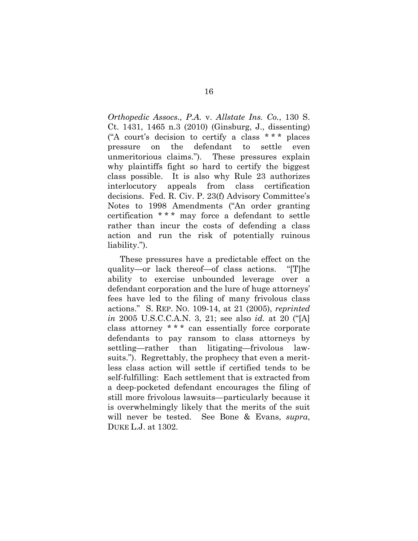*Orthopedic Assocs., P.A.* v. *Allstate Ins. Co.*, 130 S. Ct. 1431, 1465 n.3 (2010) (Ginsburg, J., dissenting) ("A court's decision to certify a class \* \* \* places pressure on the defendant to settle even unmeritorious claims."). These pressures explain why plaintiffs fight so hard to certify the biggest class possible. It is also why Rule 23 authorizes interlocutory appeals from class certification decisions. Fed. R. Civ. P. 23(f) Advisory Committee's Notes to 1998 Amendments ("An order granting certification \* \* \* may force a defendant to settle rather than incur the costs of defending a class action and run the risk of potentially ruinous liability.").

These pressures have a predictable effect on the quality—or lack thereof—of class actions. "[T]he ability to exercise unbounded leverage over a defendant corporation and the lure of huge attorneys' fees have led to the filing of many frivolous class actions." S. REP. NO. 109-14, at 21 (2005), *reprinted in* 2005 U.S.C.C.A.N. 3, 21; see also *id.* at 20 ("[A] class attorney \* \* \* can essentially force corporate defendants to pay ransom to class attorneys by settling—rather than litigating—frivolous lawsuits."). Regrettably, the prophecy that even a meritless class action will settle if certified tends to be self-fulfilling: Each settlement that is extracted from a deep-pocketed defendant encourages the filing of still more frivolous lawsuits—particularly because it is overwhelmingly likely that the merits of the suit will never be tested. See Bone & Evans, *supra*, DUKE L.J. at 1302.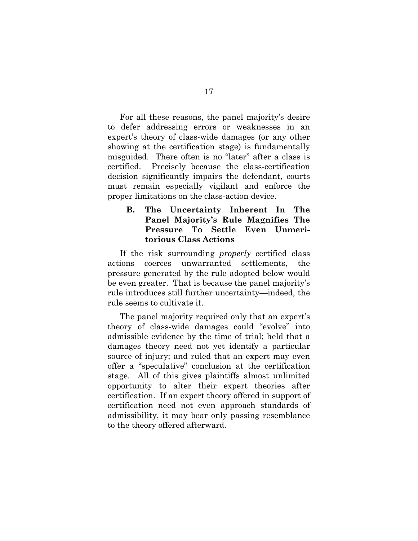For all these reasons, the panel majority's desire to defer addressing errors or weaknesses in an expert's theory of class-wide damages (or any other showing at the certification stage) is fundamentally misguided. There often is no "later" after a class is certified. Precisely because the class-certification decision significantly impairs the defendant, courts must remain especially vigilant and enforce the proper limitations on the class-action device.

### **B. The Uncertainty Inherent In The Panel Majority's Rule Magnifies The Pressure To Settle Even Unmeritorious Class Actions**

If the risk surrounding *properly* certified class actions coerces unwarranted settlements, the pressure generated by the rule adopted below would be even greater. That is because the panel majority's rule introduces still further uncertainty—indeed, the rule seems to cultivate it.

The panel majority required only that an expert's theory of class-wide damages could "evolve" into admissible evidence by the time of trial; held that a damages theory need not yet identify a particular source of injury; and ruled that an expert may even offer a "speculative" conclusion at the certification stage. All of this gives plaintiffs almost unlimited opportunity to alter their expert theories after certification. If an expert theory offered in support of certification need not even approach standards of admissibility, it may bear only passing resemblance to the theory offered afterward.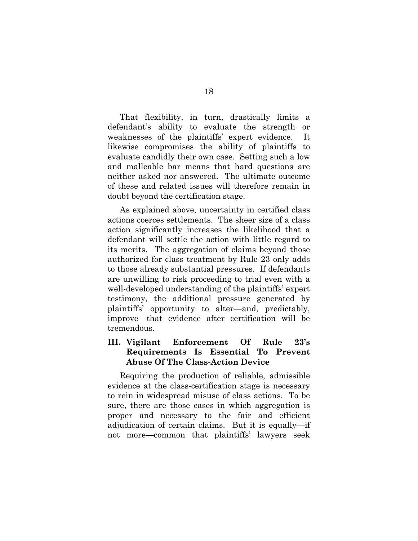That flexibility, in turn, drastically limits a defendant's ability to evaluate the strength or weaknesses of the plaintiffs' expert evidence. It likewise compromises the ability of plaintiffs to evaluate candidly their own case. Setting such a low and malleable bar means that hard questions are neither asked nor answered. The ultimate outcome of these and related issues will therefore remain in doubt beyond the certification stage.

As explained above, uncertainty in certified class actions coerces settlements. The sheer size of a class action significantly increases the likelihood that a defendant will settle the action with little regard to its merits. The aggregation of claims beyond those authorized for class treatment by Rule 23 only adds to those already substantial pressures. If defendants are unwilling to risk proceeding to trial even with a well-developed understanding of the plaintiffs' expert testimony, the additional pressure generated by plaintiffs' opportunity to alter—and, predictably, improve—that evidence after certification will be tremendous.

## **III. Vigilant Enforcement Of Rule 23's Requirements Is Essential To Prevent Abuse Of The Class-Action Device**

Requiring the production of reliable, admissible evidence at the class-certification stage is necessary to rein in widespread misuse of class actions. To be sure, there are those cases in which aggregation is proper and necessary to the fair and efficient adjudication of certain claims. But it is equally—if not more—common that plaintiffs' lawyers seek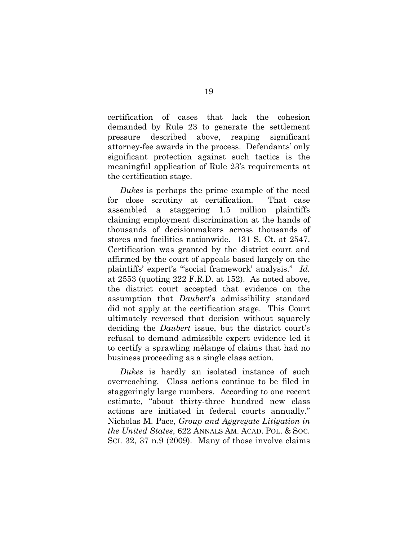certification of cases that lack the cohesion demanded by Rule 23 to generate the settlement pressure described above, reaping significant attorney-fee awards in the process. Defendants' only significant protection against such tactics is the meaningful application of Rule 23's requirements at the certification stage.

*Dukes* is perhaps the prime example of the need for close scrutiny at certification. That case assembled a staggering 1.5 million plaintiffs claiming employment discrimination at the hands of thousands of decisionmakers across thousands of stores and facilities nationwide. 131 S. Ct. at 2547. Certification was granted by the district court and affirmed by the court of appeals based largely on the plaintiffs' expert's "'social framework' analysis." *Id.* at 2553 (quoting 222 F.R.D. at 152). As noted above, the district court accepted that evidence on the assumption that *Daubert*'s admissibility standard did not apply at the certification stage. This Court ultimately reversed that decision without squarely deciding the *Daubert* issue, but the district court's refusal to demand admissible expert evidence led it to certify a sprawling mélange of claims that had no business proceeding as a single class action.

*Dukes* is hardly an isolated instance of such overreaching. Class actions continue to be filed in staggeringly large numbers. According to one recent estimate, "about thirty-three hundred new class actions are initiated in federal courts annually." Nicholas M. Pace, *Group and Aggregate Litigation in the United States*, 622 ANNALS AM. ACAD. POL. & SOC. SCI. 32, 37 n.9 (2009). Many of those involve claims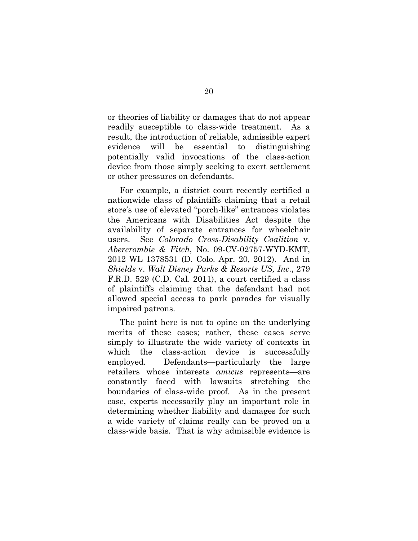or theories of liability or damages that do not appear readily susceptible to class-wide treatment. As a result, the introduction of reliable, admissible expert evidence will be essential to distinguishing potentially valid invocations of the class-action device from those simply seeking to exert settlement or other pressures on defendants.

For example, a district court recently certified a nationwide class of plaintiffs claiming that a retail store's use of elevated "porch-like" entrances violates the Americans with Disabilities Act despite the availability of separate entrances for wheelchair users. See *Colorado Cross-Disability Coalition* v. *Abercrombie & Fitch*, No. 09-CV-02757-WYD-KMT, 2012 WL 1378531 (D. Colo. Apr. 20, 2012). And in *Shields* v. *Walt Disney Parks & Resorts US, Inc.*, 279 F.R.D. 529 (C.D. Cal. 2011), a court certified a class of plaintiffs claiming that the defendant had not allowed special access to park parades for visually impaired patrons.

The point here is not to opine on the underlying merits of these cases; rather, these cases serve simply to illustrate the wide variety of contexts in which the class-action device is successfully employed. Defendants—particularly the large retailers whose interests *amicus* represents—are constantly faced with lawsuits stretching the boundaries of class-wide proof. As in the present case, experts necessarily play an important role in determining whether liability and damages for such a wide variety of claims really can be proved on a class-wide basis. That is why admissible evidence is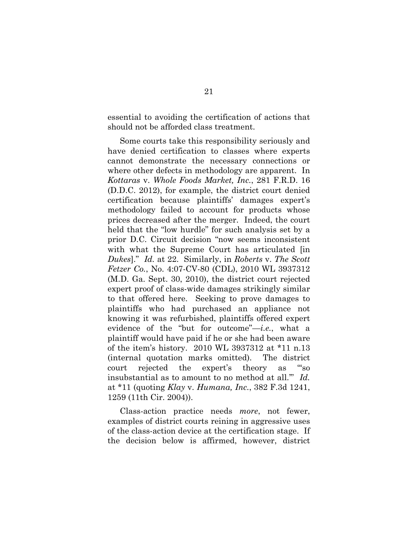essential to avoiding the certification of actions that should not be afforded class treatment.

Some courts take this responsibility seriously and have denied certification to classes where experts cannot demonstrate the necessary connections or where other defects in methodology are apparent. In *Kottaras* v. *Whole Foods Market, Inc.*, 281 F.R.D. 16 (D.D.C. 2012), for example, the district court denied certification because plaintiffs' damages expert's methodology failed to account for products whose prices decreased after the merger. Indeed, the court held that the "low hurdle" for such analysis set by a prior D.C. Circuit decision "now seems inconsistent with what the Supreme Court has articulated [in *Dukes*]." *Id.* at 22. Similarly, in *Roberts* v. *The Scott Fetzer Co.*, No. 4:07-CV-80 (CDL), 2010 WL 3937312 (M.D. Ga. Sept. 30, 2010), the district court rejected expert proof of class-wide damages strikingly similar to that offered here. Seeking to prove damages to plaintiffs who had purchased an appliance not knowing it was refurbished, plaintiffs offered expert evidence of the "but for outcome"—*i.e.*, what a plaintiff would have paid if he or she had been aware of the item's history. 2010 WL 3937312 at \*11 n.13 (internal quotation marks omitted). The district court rejected the expert's theory as "'so insubstantial as to amount to no method at all.'" *Id.*  at \*11 (quoting *Klay* v. *Humana, Inc.*, 382 F.3d 1241, 1259 (11th Cir. 2004)).

Class-action practice needs *more*, not fewer, examples of district courts reining in aggressive uses of the class-action device at the certification stage. If the decision below is affirmed, however, district